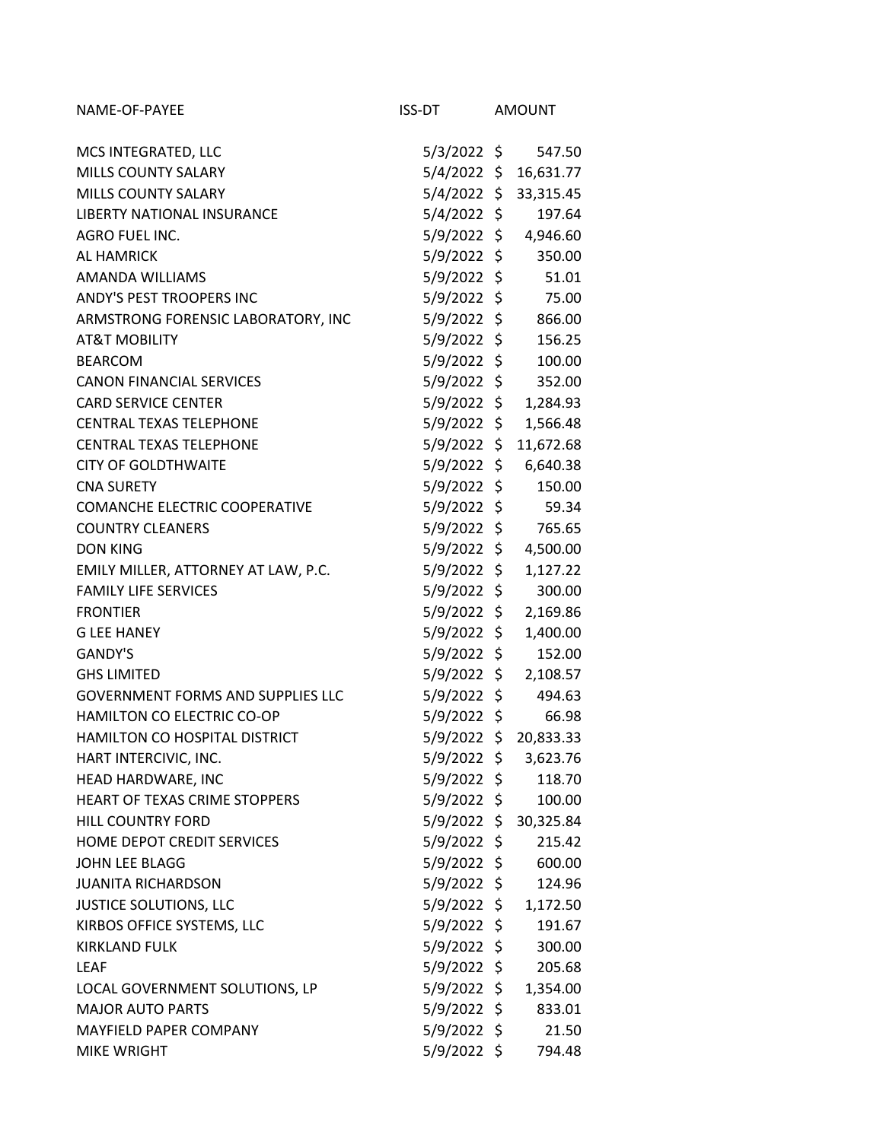| NAME-OF-PAYEE                            | ISS-DT        | <b>AMOUNT</b> |
|------------------------------------------|---------------|---------------|
| MCS INTEGRATED, LLC                      | 5/3/2022 \$   | 547.50        |
| MILLS COUNTY SALARY                      | 5/4/2022 \$   | 16,631.77     |
| <b>MILLS COUNTY SALARY</b>               | 5/4/2022 \$   | 33,315.45     |
| LIBERTY NATIONAL INSURANCE               | 5/4/2022 \$   | 197.64        |
| AGRO FUEL INC.                           | 5/9/2022 \$   | 4,946.60      |
| <b>AL HAMRICK</b>                        | 5/9/2022 \$   | 350.00        |
| AMANDA WILLIAMS                          | 5/9/2022 \$   | 51.01         |
| ANDY'S PEST TROOPERS INC                 | 5/9/2022 \$   | 75.00         |
| ARMSTRONG FORENSIC LABORATORY, INC       | 5/9/2022 \$   | 866.00        |
| <b>AT&amp;T MOBILITY</b>                 | 5/9/2022 \$   | 156.25        |
| <b>BEARCOM</b>                           | 5/9/2022 \$   | 100.00        |
| <b>CANON FINANCIAL SERVICES</b>          | 5/9/2022 \$   | 352.00        |
| <b>CARD SERVICE CENTER</b>               | 5/9/2022 \$   | 1,284.93      |
| <b>CENTRAL TEXAS TELEPHONE</b>           | 5/9/2022 \$   | 1,566.48      |
| <b>CENTRAL TEXAS TELEPHONE</b>           | 5/9/2022 \$   | 11,672.68     |
| <b>CITY OF GOLDTHWAITE</b>               | 5/9/2022 \$   | 6,640.38      |
| <b>CNA SURETY</b>                        | $5/9/2022$ \$ | 150.00        |
| <b>COMANCHE ELECTRIC COOPERATIVE</b>     | $5/9/2022$ \$ | 59.34         |
| <b>COUNTRY CLEANERS</b>                  | 5/9/2022 \$   | 765.65        |
| <b>DON KING</b>                          | 5/9/2022 \$   | 4,500.00      |
| EMILY MILLER, ATTORNEY AT LAW, P.C.      | $5/9/2022$ \$ | 1,127.22      |
| <b>FAMILY LIFE SERVICES</b>              | 5/9/2022 \$   | 300.00        |
| <b>FRONTIER</b>                          | 5/9/2022 \$   | 2,169.86      |
| <b>G LEE HANEY</b>                       | 5/9/2022 \$   | 1,400.00      |
| <b>GANDY'S</b>                           | 5/9/2022 \$   | 152.00        |
| <b>GHS LIMITED</b>                       | 5/9/2022 \$   | 2,108.57      |
| <b>GOVERNMENT FORMS AND SUPPLIES LLC</b> | 5/9/2022 \$   | 494.63        |
| HAMILTON CO ELECTRIC CO-OP               | $5/9/2022$ \$ | 66.98         |
| HAMILTON CO HOSPITAL DISTRICT            | $5/9/2022$ \$ | 20,833.33     |
| HART INTERCIVIC, INC.                    | 5/9/2022 \$   | 3,623.76      |
| HEAD HARDWARE, INC                       | 5/9/2022 \$   | 118.70        |
| HEART OF TEXAS CRIME STOPPERS            | 5/9/2022 \$   | 100.00        |
| HILL COUNTRY FORD                        | 5/9/2022 \$   | 30,325.84     |
| HOME DEPOT CREDIT SERVICES               | 5/9/2022 \$   | 215.42        |
| JOHN LEE BLAGG                           | 5/9/2022 \$   | 600.00        |
| <b>JUANITA RICHARDSON</b>                | 5/9/2022 \$   | 124.96        |
| <b>JUSTICE SOLUTIONS, LLC</b>            | 5/9/2022 \$   | 1,172.50      |
| KIRBOS OFFICE SYSTEMS, LLC               | 5/9/2022 \$   | 191.67        |
| <b>KIRKLAND FULK</b>                     | $5/9/2022$ \$ | 300.00        |
| <b>LEAF</b>                              | 5/9/2022 \$   | 205.68        |
| LOCAL GOVERNMENT SOLUTIONS, LP           | 5/9/2022 \$   | 1,354.00      |
| <b>MAJOR AUTO PARTS</b>                  | 5/9/2022 \$   | 833.01        |
| MAYFIELD PAPER COMPANY                   | 5/9/2022 \$   | 21.50         |
| <b>MIKE WRIGHT</b>                       | 5/9/2022 \$   | 794.48        |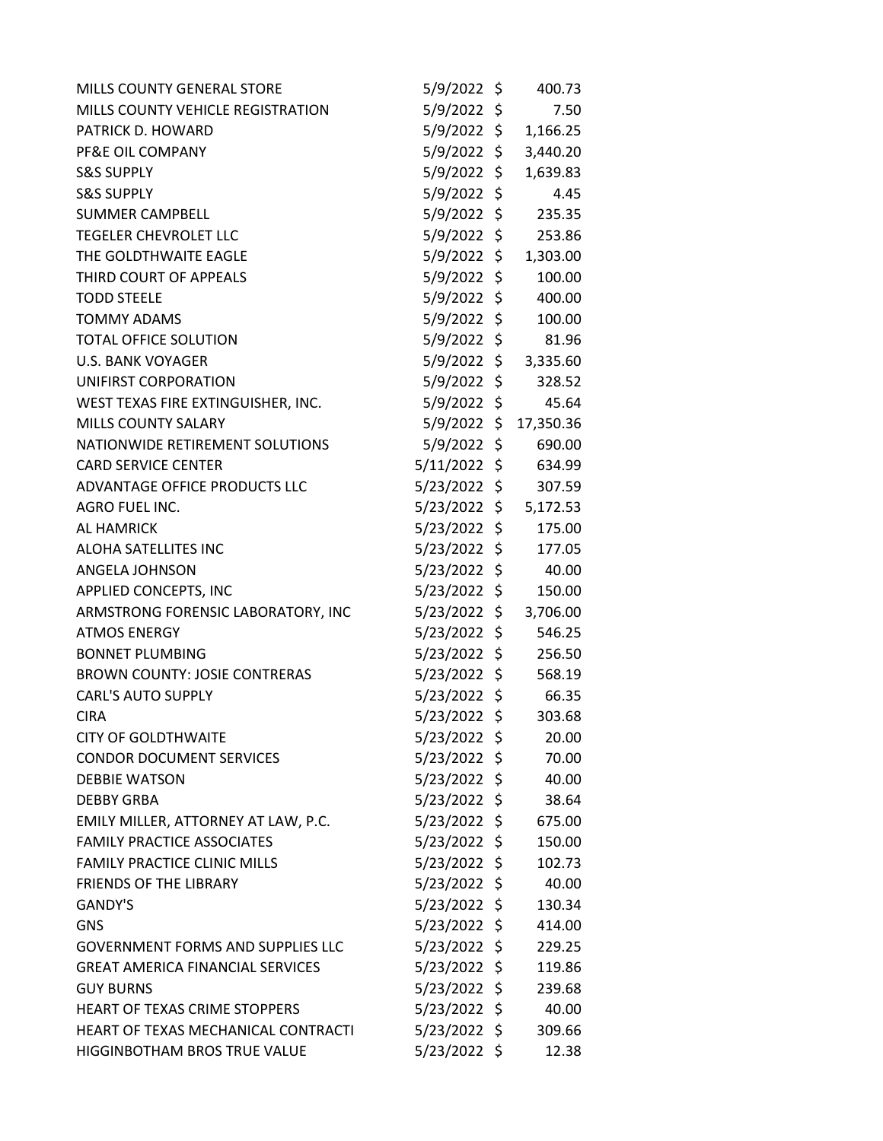| MILLS COUNTY GENERAL STORE               | $5/9/2022$ \$  |         | 400.73    |
|------------------------------------------|----------------|---------|-----------|
| MILLS COUNTY VEHICLE REGISTRATION        | $5/9/2022$ \$  |         | 7.50      |
| PATRICK D. HOWARD                        | $5/9/2022$ \$  |         | 1,166.25  |
| PF&E OIL COMPANY                         | $5/9/2022$ \$  |         | 3,440.20  |
| <b>S&amp;S SUPPLY</b>                    | $5/9/2022$ \$  |         | 1,639.83  |
| <b>S&amp;S SUPPLY</b>                    | 5/9/2022 \$    |         | 4.45      |
| <b>SUMMER CAMPBELL</b>                   | $5/9/2022$ \$  |         | 235.35    |
| <b>TEGELER CHEVROLET LLC</b>             | $5/9/2022$ \$  |         | 253.86    |
| THE GOLDTHWAITE EAGLE                    | $5/9/2022$ \$  |         | 1,303.00  |
| THIRD COURT OF APPEALS                   | 5/9/2022 \$    |         | 100.00    |
| <b>TODD STEELE</b>                       | $5/9/2022$ \$  |         | 400.00    |
| <b>TOMMY ADAMS</b>                       | $5/9/2022$ \$  |         | 100.00    |
| <b>TOTAL OFFICE SOLUTION</b>             | 5/9/2022       | \$      | 81.96     |
| <b>U.S. BANK VOYAGER</b>                 | $5/9/2022$ \$  |         | 3,335.60  |
| UNIFIRST CORPORATION                     | $5/9/2022$ \$  |         | 328.52    |
| WEST TEXAS FIRE EXTINGUISHER, INC.       | $5/9/2022$ \$  |         | 45.64     |
| MILLS COUNTY SALARY                      | $5/9/2022$ \$  |         | 17,350.36 |
| NATIONWIDE RETIREMENT SOLUTIONS          | 5/9/2022       | \$      | 690.00    |
| <b>CARD SERVICE CENTER</b>               | $5/11/2022$ \$ |         | 634.99    |
| ADVANTAGE OFFICE PRODUCTS LLC            | $5/23/2022$ \$ |         | 307.59    |
| AGRO FUEL INC.                           | $5/23/2022$ \$ |         | 5,172.53  |
| <b>AL HAMRICK</b>                        | 5/23/2022      | \$      | 175.00    |
| ALOHA SATELLITES INC                     | 5/23/2022      | \$      | 177.05    |
| ANGELA JOHNSON                           | $5/23/2022$ \$ |         | 40.00     |
| APPLIED CONCEPTS, INC                    | 5/23/2022 \$   |         | 150.00    |
| ARMSTRONG FORENSIC LABORATORY, INC       | $5/23/2022$ \$ |         | 3,706.00  |
| <b>ATMOS ENERGY</b>                      | 5/23/2022      | \$      | 546.25    |
| <b>BONNET PLUMBING</b>                   | 5/23/2022 \$   |         | 256.50    |
| <b>BROWN COUNTY: JOSIE CONTRERAS</b>     | 5/23/2022 \$   |         | 568.19    |
| <b>CARL'S AUTO SUPPLY</b>                | 5/23/2022 \$   |         | 66.35     |
| <b>CIRA</b>                              | 5/23/2022      | $\zeta$ | 303.68    |
| <b>CITY OF GOLDTHWAITE</b>               | 5/23/2022 \$   |         | 20.00     |
| <b>CONDOR DOCUMENT SERVICES</b>          | 5/23/2022 \$   |         | 70.00     |
| <b>DEBBIE WATSON</b>                     | 5/23/2022 \$   |         | 40.00     |
| <b>DEBBY GRBA</b>                        | $5/23/2022$ \$ |         | 38.64     |
| EMILY MILLER, ATTORNEY AT LAW, P.C.      | $5/23/2022$ \$ |         | 675.00    |
| <b>FAMILY PRACTICE ASSOCIATES</b>        | 5/23/2022 \$   |         | 150.00    |
| FAMILY PRACTICE CLINIC MILLS             | 5/23/2022 \$   |         | 102.73    |
| <b>FRIENDS OF THE LIBRARY</b>            | $5/23/2022$ \$ |         | 40.00     |
| <b>GANDY'S</b>                           | 5/23/2022 \$   |         | 130.34    |
| <b>GNS</b>                               | $5/23/2022$ \$ |         | 414.00    |
| <b>GOVERNMENT FORMS AND SUPPLIES LLC</b> | $5/23/2022$ \$ |         | 229.25    |
| <b>GREAT AMERICA FINANCIAL SERVICES</b>  | $5/23/2022$ \$ |         | 119.86    |
| <b>GUY BURNS</b>                         | 5/23/2022 \$   |         | 239.68    |
| <b>HEART OF TEXAS CRIME STOPPERS</b>     | $5/23/2022$ \$ |         | 40.00     |
| HEART OF TEXAS MECHANICAL CONTRACTI      | $5/23/2022$ \$ |         | 309.66    |
| HIGGINBOTHAM BROS TRUE VALUE             | 5/23/2022 \$   |         | 12.38     |